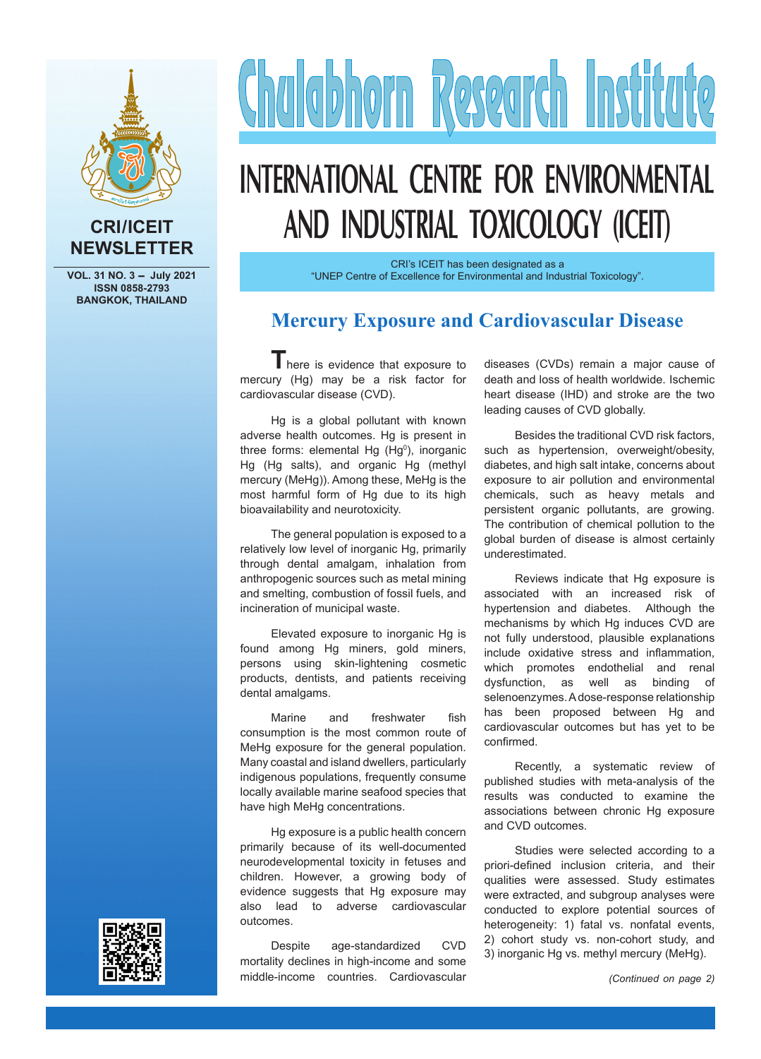

#### **CRI/ICEIT NEWSLETTER**

**VOL. 31 NO. 3 - July 2021 ISSN 0858-2793 BANGKOK, THAILAND**

# Chalabhorn Research Institute

# **INTERNATIONAL CENTRE FOR ENVIRONMENTAL AND INDUSTRIAL TOXICOLOGY (ICEIT)**

CRI's ICEIT has been designated as a "UNEP Centre of Excellence for Environmental and Industrial Toxicology".

#### **Mercury Exposure and Cardiovascular Disease**

There is evidence that exposure to mercury (Hg) may be a risk factor for cardiovascular disease (CVD).

Hg is a global pollutant with known adverse health outcomes. Hg is present in three forms: elemental Hg  $(Hg^0)$ , inorganic Hg (Hg salts), and organic Hg (methyl mercury (MeHg)). Among these, MeHg is the most harmful form of Hg due to its high bioavailability and neurotoxicity.

The general population is exposed to a relatively low level of inorganic Hg, primarily through dental amalgam, inhalation from anthropogenic sources such as metal mining and smelting, combustion of fossil fuels, and incineration of municipal waste.

Elevated exposure to inorganic Hg is found among Hg miners, gold miners, persons using skin-lightening cosmetic products, dentists, and patients receiving dental amalgams.

Marine and freshwater fish consumption is the most common route of MeHg exposure for the general population. Many coastal and island dwellers, particularly indigenous populations, frequently consume locally available marine seafood species that have high MeHg concentrations.

Hg exposure is a public health concern primarily because of its well-documented neurodevelopmental toxicity in fetuses and children. However, a growing body of evidence suggests that Hg exposure may also lead to adverse cardiovascular outcomes.

diseases (CVDs) remain a major cause of death and loss of health worldwide. Ischemic heart disease (IHD) and stroke are the two leading causes of CVD globally.

Besides the traditional CVD risk factors, such as hypertension, overweight/obesity, diabetes, and high salt intake, concerns about exposure to air pollution and environmental chemicals, such as heavy metals and persistent organic pollutants, are growing. The contribution of chemical pollution to the global burden of disease is almost certainly underestimated.

Reviews indicate that Hg exposure is associated with an increased risk of hypertension and diabetes. Although the mechanisms by which Hg induces CVD are not fully understood, plausible explanations include oxidative stress and inflammation, which promotes endothelial and renal dysfunction, as well as binding of selenoenzymes. A dose-response relationship has been proposed between Hg and cardiovascular outcomes but has yet to be confirmed.

Recently, a systematic review of published studies with meta-analysis of the results was conducted to examine the associations between chronic Hg exposure and CVD outcomes.

Studies were selected according to a priori-defined inclusion criteria, and their qualities were assessed. Study estimates were extracted, and subgroup analyses were conducted to explore potential sources of heterogeneity: 1) fatal vs. nonfatal events, 2) cohort study vs. non-cohort study, and 3) inorganic Hg vs. methyl mercury (MeHg).



Despite age-standardized CVD mortality declines in high-income and some middle-income countries. Cardiovascular *(Continued on page 2)*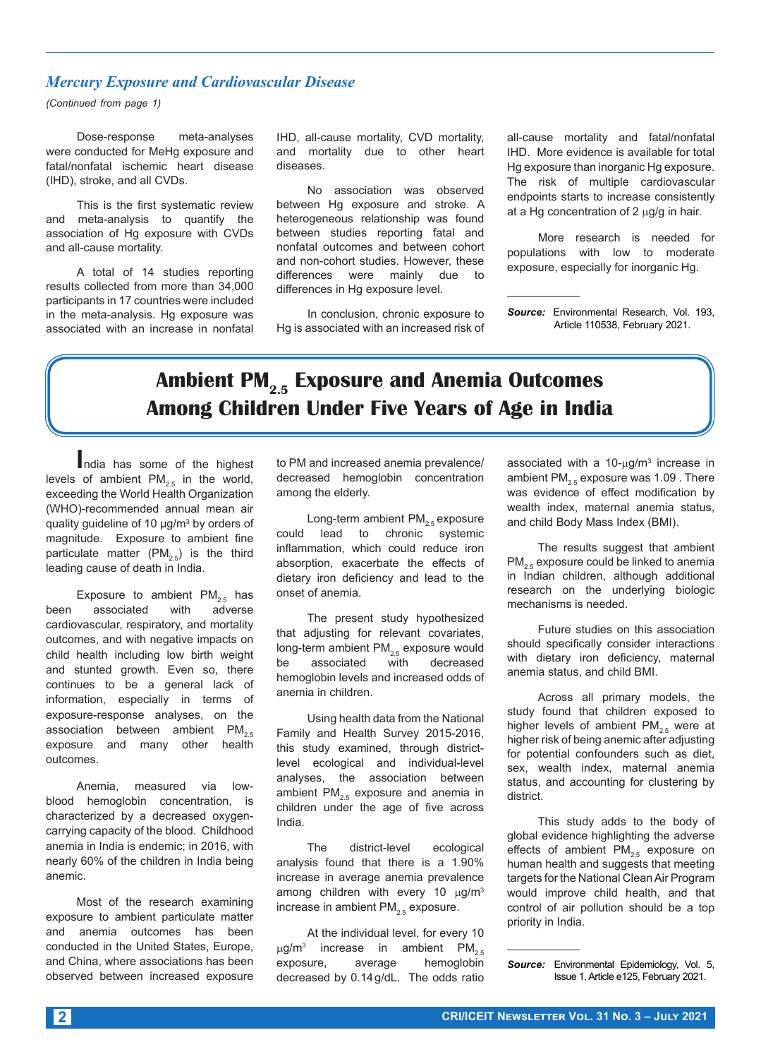#### *Mercury Exposure and Cardiovascular Disease*

*(Continued from page 1)*

Dose-response meta-analyses were conducted for MeHg exposure and fatal/nonfatal ischemic heart disease (IHD), stroke, and all CVDs.

This is the first systematic review and meta-analysis to quantify the association of Hg exposure with CVDs and all-cause mortality.

A total of 14 studies reporting results collected from more than 34,000 participants in 17 countries were included in the meta-analysis. Hg exposure was associated with an increase in nonfatal IHD, all-cause mortality, CVD mortality, and mortality due to other heart diseases.

No association was observed between Hg exposure and stroke. A heterogeneous relationship was found between studies reporting fatal and nonfatal outcomes and between cohort and non-cohort studies. However, these differences were mainly due to differences in Hg exposure level.

In conclusion, chronic exposure to Hg is associated with an increased risk of all-cause mortality and fatal/nonfatal IHD. More evidence is available for total Hg exposure than inorganic Hg exposure. The risk of multiple cardiovascular endpoints starts to increase consistently at a Hg concentration of 2  $\mu$ g/g in hair.

More research is needed for populations with low to moderate exposure, especially for inorganic Hg.

*Source:* Environmental Research, Vol. 193, Article 110538, February 2021.

# Ambient PM<sub>2.5</sub> Exposure and Anemia Outcomes **Among Children Under Five Years of Age in India**

**I**ndia has some of the highest levels of ambient  $PM_{2.5}$  in the world, exceeding the World Health Organization (WHO)-recommended annual mean air quality guideline of 10 μg/m<sup>3</sup> by orders of magnitude. Exposure to ambient fine particulate matter  $(PM_{2.5})$  is the third leading cause of death in India.

Exposure to ambient  $PM_{2.5}$  has<br>associated with adverse been associated cardiovascular, respiratory, and mortality outcomes, and with negative impacts on child health including low birth weight and stunted growth. Even so, there continues to be a general lack of information, especially in terms of exposure-response analyses, on the association between ambient  $PM_{2.5}$ exposure and many other health outcomes.

Anemia, measured via lowblood hemoglobin concentration, is characterized by a decreased oxygencarrying capacity of the blood. Childhood anemia in India is endemic; in 2016, with nearly 60% of the children in India being anemic.

Most of the research examining exposure to ambient particulate matter and anemia outcomes has been conducted in the United States, Europe, and China, where associations has been observed between increased exposure to PM and increased anemia prevalence/ decreased hemoglobin concentration among the elderly.

Long-term ambient  $PM_{2.5}$  exposure could lead to chronic systemic inflammation, which could reduce iron absorption, exacerbate the effects of dietary iron deficiency and lead to the onset of anemia.

The present study hypothesized that adjusting for relevant covariates, long-term ambient  $PM_{2.5}$  exposure would<br>be associated with decreased associated with decreased hemoglobin levels and increased odds of anemia in children.

Using health data from the National Family and Health Survey 2015-2016, this study examined, through districtlevel ecological and individual-level analyses, the association between ambient PM<sub>2.5</sub> exposure and anemia in children under the age of five across India.

The district-level ecological analysis found that there is a 1.90% increase in average anemia prevalence among children with every 10  $\mu$ g/m<sup>3</sup> increase in ambient  $PM_{2.5}$  exposure.

At the individual level, for every 10  $\mu$ g/m<sup>3</sup> increase in ambient PM<sub>2.5</sub> exposure, average hemoglobin decreased by 0.14g/dL. The odds ratio

associated with a  $10$ - $\mu$ g/m<sup>3</sup> increase in ambient PM<sub>2.5</sub> exposure was 1.09 . There was evidence of effect modification by wealth index, maternal anemia status, and child Body Mass Index (BMI).

The results suggest that ambient  $PM_{2.5}$  exposure could be linked to anemia in Indian children, although additional research on the underlying biologic mechanisms is needed.

Future studies on this association should specifically consider interactions with dietary iron deficiency, maternal anemia status, and child BMI.

Across all primary models, the study found that children exposed to higher levels of ambient  $PM_{2.5}$  were at higher risk of being anemic after adjusting for potential confounders such as diet, sex, wealth index, maternal anemia status, and accounting for clustering by district.

This study adds to the body of global evidence highlighting the adverse effects of ambient  $PM_{2.5}$  exposure on human health and suggests that meeting targets for the National Clean Air Program would improve child health, and that control of air pollution should be a top priority in India.

*Source:* Environmental Epidemiology, Vol. 5, Issue 1, Article e125, February 2021.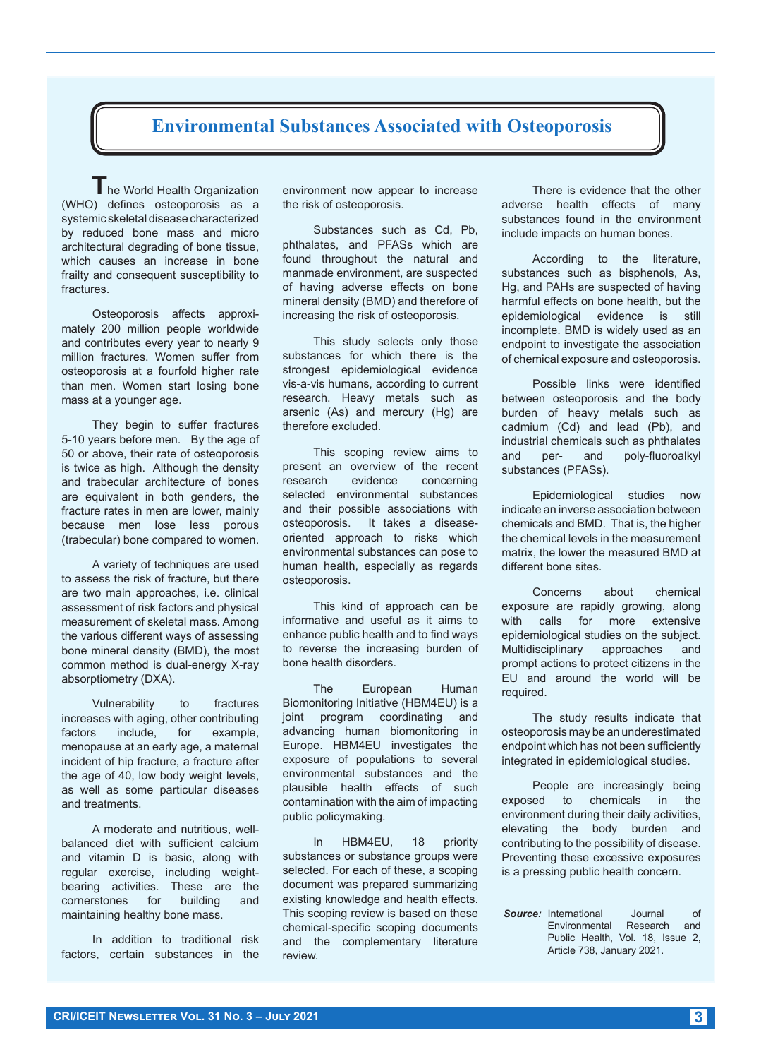#### **Environmental Substances Associated with Osteoporosis**

**T**he World Health Organization (WHO) defines osteoporosis as a systemic skeletal disease characterized by reduced bone mass and micro architectural degrading of bone tissue, which causes an increase in bone frailty and consequent susceptibility to fractures.

Osteoporosis affects approximately 200 million people worldwide and contributes every year to nearly 9 million fractures. Women suffer from osteoporosis at a fourfold higher rate than men. Women start losing bone mass at a younger age.

They begin to suffer fractures 5-10 years before men. By the age of 50 or above, their rate of osteoporosis is twice as high. Although the density and trabecular architecture of bones are equivalent in both genders, the fracture rates in men are lower, mainly because men lose less porous (trabecular) bone compared to women.

A variety of techniques are used to assess the risk of fracture, but there are two main approaches, i.e. clinical assessment of risk factors and physical measurement of skeletal mass. Among the various different ways of assessing bone mineral density (BMD), the most common method is dual-energy X-ray absorptiometry (DXA).

Vulnerability to fractures increases with aging, other contributing factors include, for example, menopause at an early age, a maternal incident of hip fracture, a fracture after the age of 40, low body weight levels, as well as some particular diseases and treatments.

A moderate and nutritious, wellbalanced diet with sufficient calcium and vitamin D is basic, along with regular exercise, including weightbearing activities. These are the<br>cornerstones for building and cornerstones for building and maintaining healthy bone mass.

In addition to traditional risk factors, certain substances in the

environment now appear to increase the risk of osteoporosis.

Substances such as Cd, Pb, phthalates, and PFASs which are found throughout the natural and manmade environment, are suspected of having adverse effects on bone mineral density (BMD) and therefore of increasing the risk of osteoporosis.

This study selects only those substances for which there is the strongest epidemiological evidence vis-a-vis humans, according to current research. Heavy metals such as arsenic (As) and mercury (Hg) are therefore excluded.

This scoping review aims to present an overview of the recent<br>research evidence concerning research evidence concerning selected environmental substances and their possible associations with osteoporosis. It takes a diseaseoriented approach to risks which environmental substances can pose to human health, especially as regards osteoporosis.

This kind of approach can be informative and useful as it aims to enhance public health and to find ways to reverse the increasing burden of bone health disorders.

The European Human Biomonitoring Initiative (HBM4EU) is a joint program coordinating and advancing human biomonitoring in Europe. HBM4EU investigates the exposure of populations to several environmental substances and the plausible health effects of such contamination with the aim of impacting public policymaking.

In HBM4EU, 18 priority substances or substance groups were selected. For each of these, a scoping document was prepared summarizing existing knowledge and health effects. This scoping review is based on these chemical-specific scoping documents and the complementary literature review.

There is evidence that the other adverse health effects of many substances found in the environment include impacts on human bones.

According to the literature, substances such as bisphenols, As, Hg, and PAHs are suspected of having harmful effects on bone health, but the epidemiological evidence is still incomplete. BMD is widely used as an endpoint to investigate the association of chemical exposure and osteoporosis.

Possible links were identified between osteoporosis and the body burden of heavy metals such as cadmium (Cd) and lead (Pb), and industrial chemicals such as phthalates and per- and poly-fluoroalkyl substances (PFASs).

Epidemiological studies now indicate an inverse association between chemicals and BMD. That is, the higher the chemical levels in the measurement matrix, the lower the measured BMD at different bone sites.

Concerns about chemical exposure are rapidly growing, along with calls for more extensive epidemiological studies on the subject. Multidisciplinary approaches and prompt actions to protect citizens in the EU and around the world will be required.

The study results indicate that osteoporosis may be an underestimated endpoint which has not been sufficiently integrated in epidemiological studies.

People are increasingly being exposed to chemicals in the environment during their daily activities, elevating the body burden and contributing to the possibility of disease. Preventing these excessive exposures is a pressing public health concern.

**Source:** International Journal of<br>Environmental Research and **Environmental** Public Health, Vol. 18, Issue 2, Article 738, January 2021.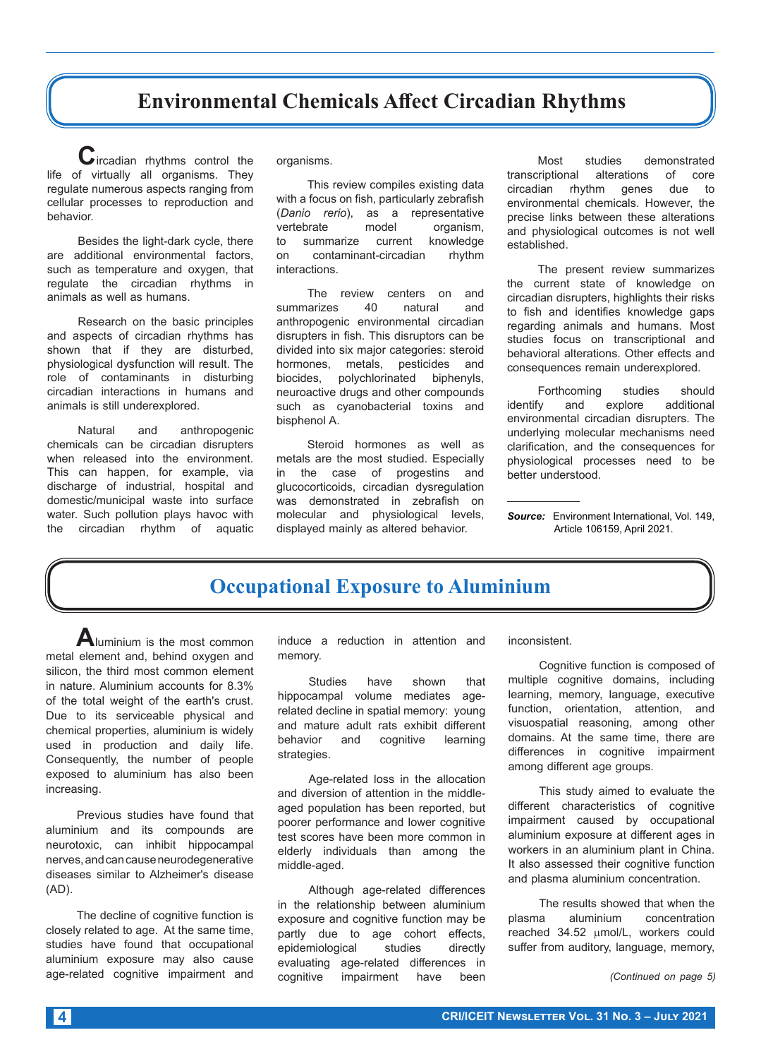#### **Environmental Chemicals Affect Circadian Rhythms**

**C**ircadian rhythms control the life of virtually all organisms. They regulate numerous aspects ranging from cellular processes to reproduction and behavior.

Besides the light-dark cycle, there are additional environmental factors, such as temperature and oxygen, that regulate the circadian rhythms in animals as well as humans.

Research on the basic principles and aspects of circadian rhythms has shown that if they are disturbed, physiological dysfunction will result. The role of contaminants in disturbing circadian interactions in humans and animals is still underexplored.

Natural and anthropogenic chemicals can be circadian disrupters when released into the environment. This can happen, for example, via discharge of industrial, hospital and domestic/municipal waste into surface water. Such pollution plays havoc with the circadian rhythm of aquatic organisms.

This review compiles existing data with a focus on fish, particularly zebrafish (*Danio rerio*), as a representative brate model organism,<br>summarize current knowledge to summarize current knowledge on contaminant-circadian rhythm interactions.

The review centers on and<br>
narizes 40 natural and summarizes 40 natural and anthropogenic environmental circadian disrupters in fish. This disruptors can be divided into six major categories: steroid hormones, metals, pesticides and biocides, polychlorinated biphenyls, neuroactive drugs and other compounds such as cyanobacterial toxins and bisphenol A.

Steroid hormones as well as metals are the most studied. Especially in the case of progestins and glucocorticoids, circadian dysregulation was demonstrated in zebrafish on molecular and physiological levels, displayed mainly as altered behavior.

Most studies demonstrated<br>transcriptional alterations of core transcriptional alterations of core<br>circadian rhythm genes due to rhythm genes environmental chemicals. However, the precise links between these alterations and physiological outcomes is not well established.

The present review summarizes the current state of knowledge on circadian disrupters, highlights their risks to fish and identifies knowledge gaps regarding animals and humans. Most studies focus on transcriptional and behavioral alterations. Other effects and consequences remain underexplored.

Forthcoming studies should<br>fy and explore additional identify and explore additional environmental circadian disrupters. The underlying molecular mechanisms need clarification, and the consequences for physiological processes need to be better understood.

*Source:* Environment International, Vol. 149, Article 106159, April 2021.

#### **Occupational Exposure to Aluminium**

**A**luminium is the most common metal element and, behind oxygen and silicon, the third most common element in nature. Aluminium accounts for 8.3% of the total weight of the earth's crust. Due to its serviceable physical and chemical properties, aluminium is widely used in production and daily life. Consequently, the number of people exposed to aluminium has also been increasing.

Previous studies have found that aluminium and its compounds are neurotoxic, can inhibit hippocampal nerves, and can cause neurodegenerative diseases similar to Alzheimer's disease (AD).

The decline of cognitive function is closely related to age. At the same time, studies have found that occupational aluminium exposure may also cause age-related cognitive impairment and

induce a reduction in attention and memory.

Studies have shown that hippocampal volume mediates agerelated decline in spatial memory: young and mature adult rats exhibit different behavior and cognitive learning strategies.

Age-related loss in the allocation and diversion of attention in the middleaged population has been reported, but poorer performance and lower cognitive test scores have been more common in elderly individuals than among the middle-aged.

Although age-related differences in the relationship between aluminium exposure and cognitive function may be partly due to age cohort effects, epidemiological studies directly evaluating age-related differences in cognitive impairment have been

inconsistent.

Cognitive function is composed of multiple cognitive domains, including learning, memory, language, executive function, orientation, attention, and visuospatial reasoning, among other domains. At the same time, there are differences in cognitive impairment among different age groups.

This study aimed to evaluate the different characteristics of cognitive impairment caused by occupational aluminium exposure at different ages in workers in an aluminium plant in China. It also assessed their cognitive function and plasma aluminium concentration.

The results showed that when the plasma aluminium concentration reached 34.52 µmol/L, workers could suffer from auditory, language, memory,

*(Continued on page 5)*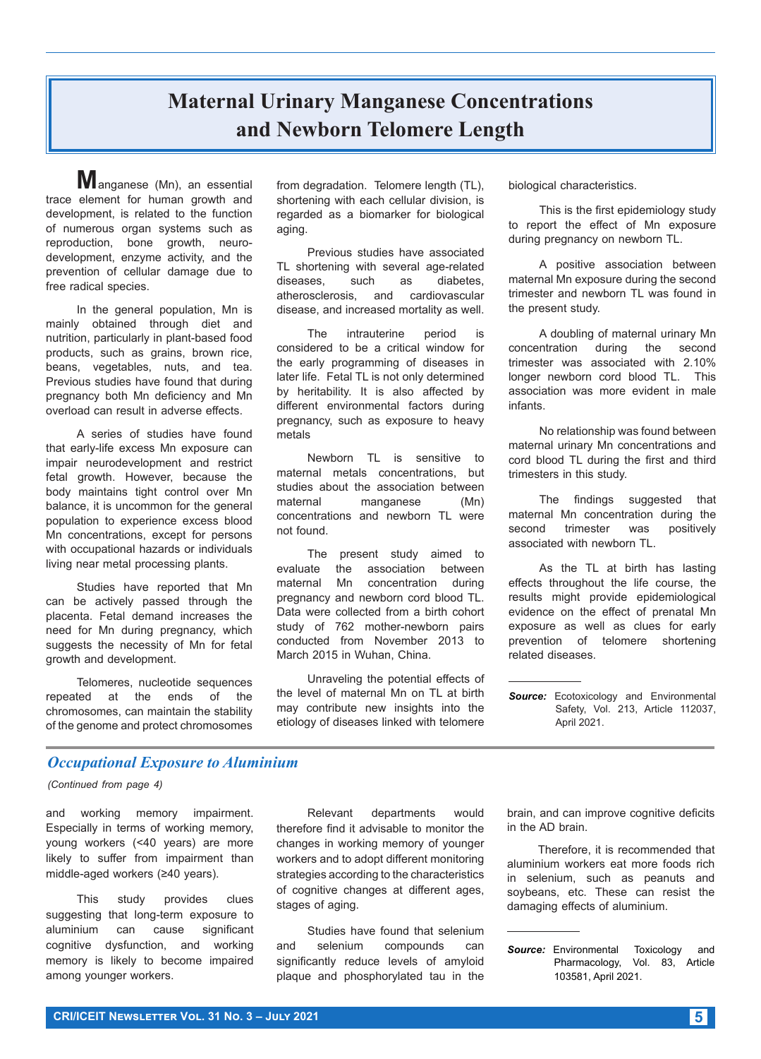# **Maternal Urinary Manganese Concentrations and Newborn Telomere Length**

**M**anganese (Mn), an essential trace element for human growth and development, is related to the function of numerous organ systems such as reproduction, bone growth, neurodevelopment, enzyme activity, and the prevention of cellular damage due to free radical species.

In the general population, Mn is mainly obtained through diet and nutrition, particularly in plant-based food products, such as grains, brown rice, beans, vegetables, nuts, and tea. Previous studies have found that during pregnancy both Mn deficiency and Mn overload can result in adverse effects.

A series of studies have found that early-life excess Mn exposure can impair neurodevelopment and restrict fetal growth. However, because the body maintains tight control over Mn balance, it is uncommon for the general population to experience excess blood Mn concentrations, except for persons with occupational hazards or individuals living near metal processing plants.

Studies have reported that Mn can be actively passed through the placenta. Fetal demand increases the need for Mn during pregnancy, which suggests the necessity of Mn for fetal growth and development.

Telomeres, nucleotide sequences repeated at the ends of the chromosomes, can maintain the stability of the genome and protect chromosomes from degradation. Telomere length (TL), shortening with each cellular division, is regarded as a biomarker for biological aging.

Previous studies have associated TL shortening with several age-related diseases, such as diabetes, atherosclerosis, and cardiovascular disease, and increased mortality as well.

The intrauterine period is considered to be a critical window for the early programming of diseases in later life. Fetal TL is not only determined by heritability. It is also affected by different environmental factors during pregnancy, such as exposure to heavy metals

Newborn TL is sensitive to maternal metals concentrations, but studies about the association between maternal manganese (Mn) concentrations and newborn TL were not found.

The present study aimed to evaluate the association between maternal Mn concentration during pregnancy and newborn cord blood TL. Data were collected from a birth cohort study of 762 mother-newborn pairs conducted from November 2013 to March 2015 in Wuhan, China.

Unraveling the potential effects of the level of maternal Mn on TL at birth may contribute new insights into the etiology of diseases linked with telomere

biological characteristics.

This is the first epidemiology study to report the effect of Mn exposure during pregnancy on newborn TL.

A positive association between maternal Mn exposure during the second trimester and newborn TL was found in the present study.

A doubling of maternal urinary Mn concentration during the second trimester was associated with 2.10% longer newborn cord blood TL. This association was more evident in male infants.

No relationship was found between maternal urinary Mn concentrations and cord blood TL during the first and third trimesters in this study.

The findings suggested that maternal Mn concentration during the second trimester was positively associated with newborn TL.

As the TL at birth has lasting effects throughout the life course, the results might provide epidemiological evidence on the effect of prenatal Mn exposure as well as clues for early prevention of telomere shortening related diseases.

*Source:* Ecotoxicology and Environmental Safety, Vol. 213, Article 112037, April 2021.

#### *Occupational Exposure to Aluminium*

#### *(Continued from page 4)*

and working memory impairment. Especially in terms of working memory, young workers (<40 years) are more likely to suffer from impairment than middle-aged workers (≥40 years).

This study provides clues suggesting that long-term exposure to aluminium can cause significant cognitive dysfunction, and working memory is likely to become impaired among younger workers.

Relevant departments would therefore find it advisable to monitor the changes in working memory of younger workers and to adopt different monitoring strategies according to the characteristics of cognitive changes at different ages, stages of aging.

Studies have found that selenium and selenium compounds can significantly reduce levels of amyloid plaque and phosphorylated tau in the brain, and can improve cognitive deficits in the AD brain.

Therefore, it is recommended that aluminium workers eat more foods rich in selenium, such as peanuts and soybeans, etc. These can resist the damaging effects of aluminium.

**Source:** Environmental Toxicology and Pharmacology, Vol. 83, Article 103581, April 2021.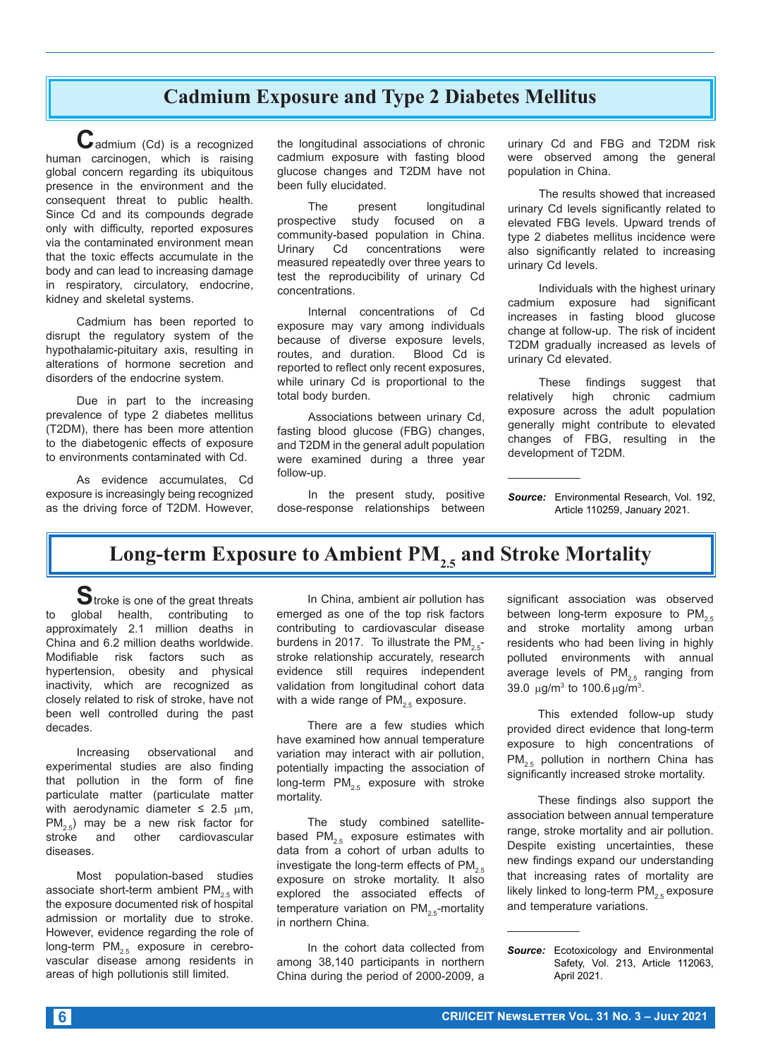#### **Cadmium Exposure and Type 2 Diabetes Mellitus**

**C**admium (Cd) is a recognized human carcinogen, which is raising global concern regarding its ubiquitous presence in the environment and the consequent threat to public health. Since Cd and its compounds degrade only with difficulty, reported exposures via the contaminated environment mean that the toxic effects accumulate in the body and can lead to increasing damage in respiratory, circulatory, endocrine, kidney and skeletal systems.

Cadmium has been reported to disrupt the regulatory system of the hypothalamic-pituitary axis, resulting in alterations of hormone secretion and disorders of the endocrine system.

Due in part to the increasing prevalence of type 2 diabetes mellitus (T2DM), there has been more attention to the diabetogenic effects of exposure to environments contaminated with Cd.

As evidence accumulates, Cd exposure is increasingly being recognized as the driving force of T2DM. However, the longitudinal associations of chronic cadmium exposure with fasting blood glucose changes and T2DM have not been fully elucidated.

The present longitudinal<br>prospective study focused on a study focused on a community-based population in China.<br>Urinary Cd concentrations were concentrations measured repeatedly over three years to test the reproducibility of urinary Cd concentrations.

Internal concentrations of Cd exposure may vary among individuals because of diverse exposure levels, routes, and duration. Blood Cd is reported to reflect only recent exposures, while urinary Cd is proportional to the total body burden.

Associations between urinary Cd, fasting blood glucose (FBG) changes, and T2DM in the general adult population were examined during a three year follow-up.

In the present study, positive dose-response relationships between urinary Cd and FBG and T2DM risk were observed among the general population in China.

The results showed that increased urinary Cd levels significantly related to elevated FBG levels. Upward trends of type 2 diabetes mellitus incidence were also significantly related to increasing urinary Cd levels.

Individuals with the highest urinary cadmium exposure had significant increases in fasting blood glucose change at follow-up. The risk of incident T2DM gradually increased as levels of urinary Cd elevated.

These findings suggest that relatively high chronic cadmium exposure across the adult population generally might contribute to elevated changes of FBG, resulting in the development of T2DM.

*Source:* Environmental Research, Vol. 192, Article 110259, January 2021.

#### Long-term Exposure to Ambient PM<sub>2.5</sub> and Stroke Mortality

**S**troke is one of the great threats to global health, contributing to approximately 2.1 million deaths in China and 6.2 million deaths worldwide. Modifiable risk factors such as hypertension, obesity and physical inactivity, which are recognized as closely related to risk of stroke, have not been well controlled during the past decades.

Increasing observational and experimental studies are also finding that pollution in the form of fine particulate matter (particulate matter with aerodynamic diameter  $\leq 2.5$   $\mu$ m,  $PM_{2.5}$ ) may be a new risk factor for<br>stroke and other cardiovascular and other cardiovascular diseases.

Most population-based studies associate short-term ambient  $PM_{25}$  with the exposure documented risk of hospital admission or mortality due to stroke. However, evidence regarding the role of long-term  $PM_{2.5}$  exposure in cerebrovascular disease among residents in areas of high pollutionis still limited.

In China, ambient air pollution has emerged as one of the top risk factors contributing to cardiovascular disease burdens in 2017. To illustrate the  $PM_{2.5}$ stroke relationship accurately, research evidence still requires independent validation from longitudinal cohort data with a wide range of  $PM_{2.5}$  exposure.

There are a few studies which have examined how annual temperature variation may interact with air pollution, potentially impacting the association of long-term  $PM_{2.5}$  exposure with stroke mortality.

The study combined satellitebased  $PM_{2.5}$  exposure estimates with data from a cohort of urban adults to investigate the long-term effects of  $PM_{2.5}$ exposure on stroke mortality. It also explored the associated effects of temperature variation on  $PM_{2.5}$ -mortality in northern China.

In the cohort data collected from among 38,140 participants in northern China during the period of 2000-2009, a

significant association was observed between long-term exposure to  $PM_{2.5}$ and stroke mortality among urban residents who had been living in highly polluted environments with annual average levels of  $PM_{2.5}$  ranging from 39.0  $\mu$ g/m<sup>3</sup> to 100.6  $\mu$ g/m<sup>3</sup>.

This extended follow-up study provided direct evidence that long-term exposure to high concentrations of  $PM_{2.5}$  pollution in northern China has significantly increased stroke mortality.

These findings also support the association between annual temperature range, stroke mortality and air pollution. Despite existing uncertainties, these new findings expand our understanding that increasing rates of mortality are likely linked to long-term  $PM_{2.5}$  exposure and temperature variations.

*Source:* Ecotoxicology and Environmental Safety, Vol. 213, Article 112063, April 2021.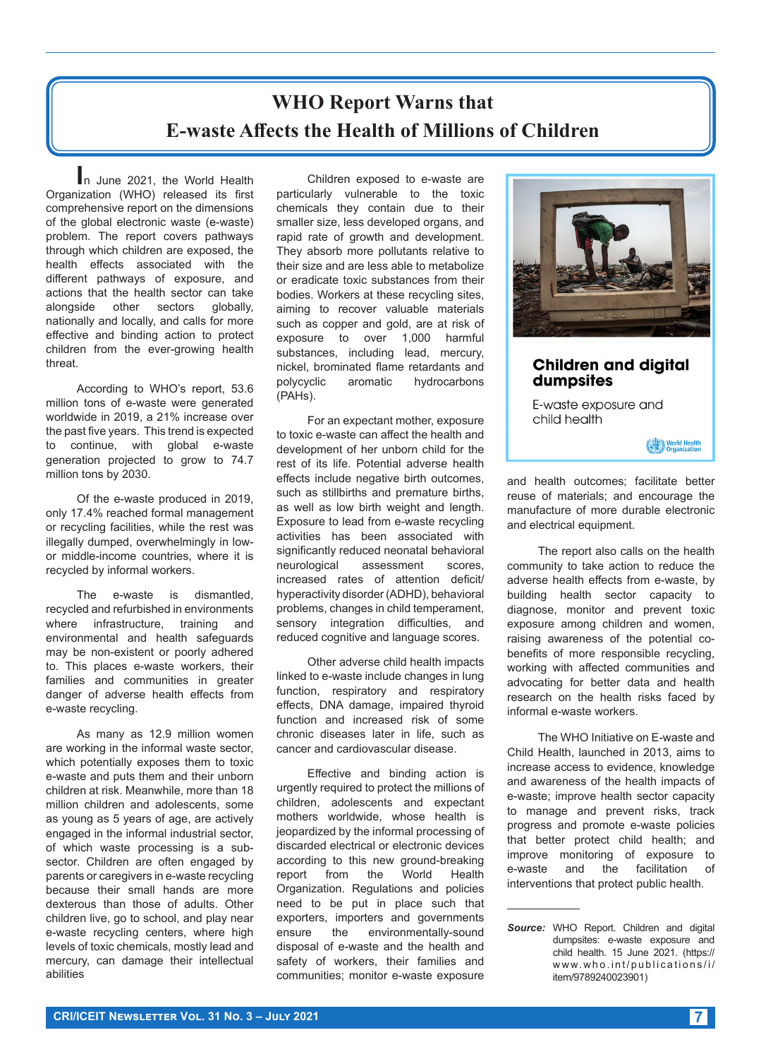### **WHO Report Warns that E-waste Affects the Health of Millions of Children**

**I**n June 2021, the World Health Organization (WHO) released its first comprehensive report on the dimensions of the global electronic waste (e-waste) problem. The report covers pathways through which children are exposed, the health effects associated with the different pathways of exposure, and actions that the health sector can take alongside other sectors globally, nationally and locally, and calls for more effective and binding action to protect children from the ever-growing health threat.

According to WHO's report, 53.6 million tons of e-waste were generated worldwide in 2019, a 21% increase over the past five years. This trend is expected to continue, with global e-waste generation projected to grow to 74.7 million tons by 2030.

Of the e-waste produced in 2019, only 17.4% reached formal management or recycling facilities, while the rest was illegally dumped, overwhelmingly in lowor middle-income countries, where it is recycled by informal workers.

The e-waste is dismantled, recycled and refurbished in environments where infrastructure, training and environmental and health safeguards may be non-existent or poorly adhered to. This places e-waste workers, their families and communities in greater danger of adverse health effects from e-waste recycling.

As many as 12.9 million women are working in the informal waste sector, which potentially exposes them to toxic e-waste and puts them and their unborn children at risk. Meanwhile, more than 18 million children and adolescents, some as young as 5 years of age, are actively engaged in the informal industrial sector, of which waste processing is a subsector. Children are often engaged by parents or caregivers in e-waste recycling because their small hands are more dexterous than those of adults. Other children live, go to school, and play near e-waste recycling centers, where high levels of toxic chemicals, mostly lead and mercury, can damage their intellectual abilities

Children exposed to e-waste are particularly vulnerable to the toxic chemicals they contain due to their smaller size, less developed organs, and rapid rate of growth and development. They absorb more pollutants relative to their size and are less able to metabolize or eradicate toxic substances from their bodies. Workers at these recycling sites, aiming to recover valuable materials such as copper and gold, are at risk of exposure to over 1,000 harmful substances, including lead, mercury, nickel, brominated flame retardants and polycyclic aromatic hydrocarbons (PAHs).

For an expectant mother, exposure to toxic e-waste can affect the health and development of her unborn child for the rest of its life. Potential adverse health effects include negative birth outcomes, such as stillbirths and premature births, as well as low birth weight and length. Exposure to lead from e-waste recycling activities has been associated with significantly reduced neonatal behavioral neurological assessment scores, increased rates of attention deficit/ hyperactivity disorder (ADHD), behavioral problems, changes in child temperament, sensory integration difficulties, and reduced cognitive and language scores.

Other adverse child health impacts linked to e-waste include changes in lung function, respiratory and respiratory effects, DNA damage, impaired thyroid function and increased risk of some chronic diseases later in life, such as cancer and cardiovascular disease.

Effective and binding action is urgently required to protect the millions of children, adolescents and expectant mothers worldwide, whose health is jeopardized by the informal processing of discarded electrical or electronic devices according to this new ground-breaking report from the World Health Organization. Regulations and policies need to be put in place such that exporters, importers and governments ensure the environmentally-sound disposal of e-waste and the health and safety of workers, their families and communities; monitor e-waste exposure



reuse of materials; and encourage the manufacture of more durable electronic and electrical equipment.

The report also calls on the health community to take action to reduce the adverse health effects from e-waste, by building health sector capacity to diagnose, monitor and prevent toxic exposure among children and women, raising awareness of the potential cobenefits of more responsible recycling, working with affected communities and advocating for better data and health research on the health risks faced by informal e-waste workers.

The WHO Initiative on E-waste and Child Health, launched in 2013, aims to increase access to evidence, knowledge and awareness of the health impacts of e-waste; improve health sector capacity to manage and prevent risks, track progress and promote e-waste policies that better protect child health; and improve monitoring of exposure to e-waste and the facilitation of interventions that protect public health.

*Source:* WHO Report. Children and digital dumpsites: e-waste exposure and child health. 15 June 2021. (https:// www.who.int/publications/i/ item/9789240023901)